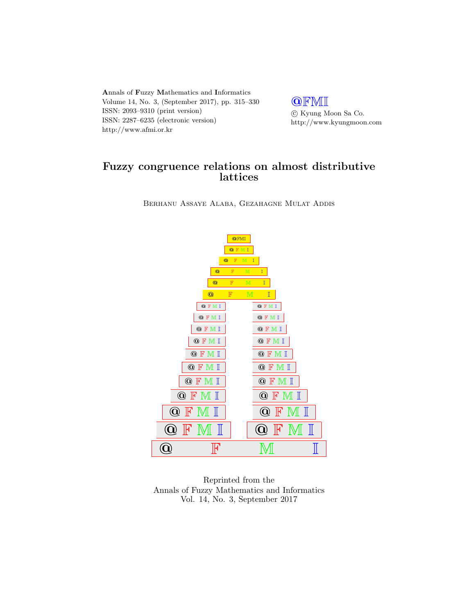Annals of Fuzzy Mathematics and Informatics Volume 14, No. 3, (September 2017), pp. 315–330 ISSN: 2093–9310 (print version) ISSN: 2287–6235 (electronic version) http://www.afmi.or.kr

**QFMI**  $\odot$ Kyung Moon Sa Co. http://www.kyungmoon.com

# Fuzzy congruence relations on almost distributive lattices

Berhanu Assaye Alaba, Gezahagne Mulat Addis



Reprinted from the Annals of Fuzzy Mathematics and Informatics Vol. 14, No. 3, September 2017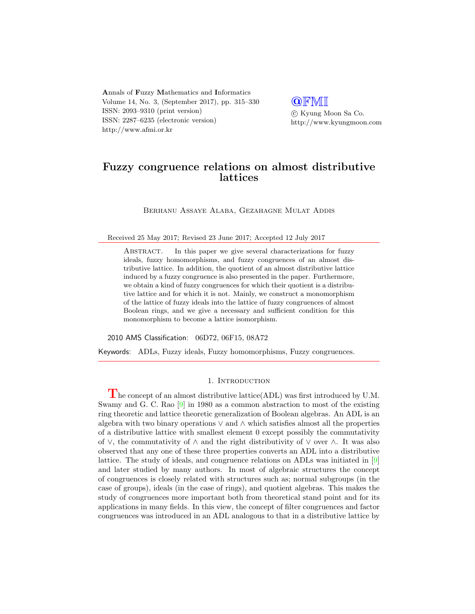Annals of Fuzzy Mathematics and Informatics Volume 14, No. 3, (September 2017), pp. 315–330 ISSN: 2093–9310 (print version) ISSN: 2287–6235 (electronic version) http://www.afmi.or.kr

**QFMI**  c Kyung Moon Sa Co. http://www.kyungmoon.com

## Fuzzy congruence relations on almost distributive lattices

Berhanu Assaye Alaba, Gezahagne Mulat Addis

Received 25 May 2017; Revised 23 June 2017; Accepted 12 July 2017

ABSTRACT. In this paper we give several characterizations for fuzzy ideals, fuzzy homomorphisms, and fuzzy congruences of an almost distributive lattice. In addition, the quotient of an almost distributive lattice induced by a fuzzy congruence is also presented in the paper. Furthermore, we obtain a kind of fuzzy congruences for which their quotient is a distributive lattice and for which it is not. Mainly, we construct a monomorphism of the lattice of fuzzy ideals into the lattice of fuzzy congruences of almost Boolean rings, and we give a necessary and sufficient condition for this monomorphism to become a lattice isomorphism.

2010 AMS Classification: 06D72, 06F15, 08A72

Keywords: ADLs, Fuzzy ideals, Fuzzy homomorphisms, Fuzzy congruences.

### 1. INTRODUCTION

 $\Gamma$  he concept of an almost distributive lattice(ADL) was first introduced by U.M. Swamy and G. C. Rao [\[9\]](#page-15-0) in 1980 as a common abstraction to most of the existing ring theoretic and lattice theoretic generalization of Boolean algebras. An ADL is an algebra with two binary operations ∨ and ∧ which satisfies almost all the properties of a distributive lattice with smallest element 0 except possibly the commutativity of  $\vee$ , the commutativity of  $\wedge$  and the right distributivity of  $\vee$  over  $\wedge$ . It was also observed that any one of these three properties converts an ADL into a distributive lattice. The study of ideals, and congruence relations on ADLs was initiated in [\[9\]](#page-15-0) and later studied by many authors. In most of algebraic structures the concept of congruences is closely related with structures such as; normal subgroups (in the case of groups), ideals (in the case of rings), and quotient algebras. This makes the study of congruences more important both from theoretical stand point and for its applications in many fields. In this view, the concept of filter congruences and factor congruences was introduced in an ADL analogous to that in a distributive lattice by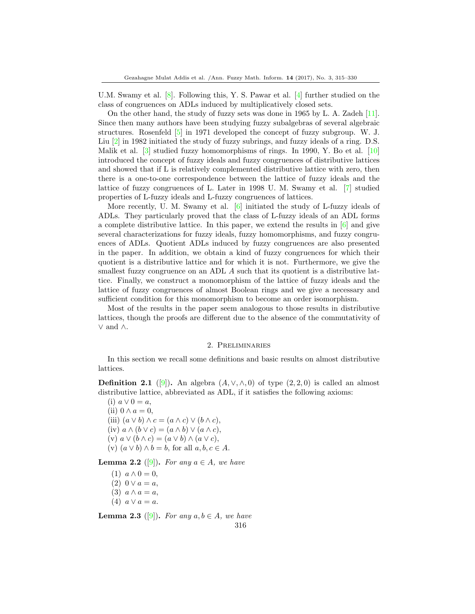U.M. Swamy et al. [\[8\]](#page-15-1). Following this, Y. S. Pawar et al. [\[4\]](#page-15-2) further studied on the class of congruences on ADLs induced by multiplicatively closed sets.

On the other hand, the study of fuzzy sets was done in 1965 by L. A. Zadeh [\[11\]](#page-15-3). Since then many authors have been studying fuzzy subalgebras of several algebraic structures. Rosenfeld [\[5\]](#page-15-4) in 1971 developed the concept of fuzzy subgroup. W. J. Liu [\[2\]](#page-15-5) in 1982 initiated the study of fuzzy subrings, and fuzzy ideals of a ring. D.S. Malik et al. [\[3\]](#page-15-6) studied fuzzy homomorphisms of rings. In 1990, Y. Bo et al. [\[10\]](#page-15-7) introduced the concept of fuzzy ideals and fuzzy congruences of distributive lattices and showed that if L is relatively complemented distributive lattice with zero, then there is a one-to-one correspondence between the lattice of fuzzy ideals and the lattice of fuzzy congruences of L. Later in 1998 U. M. Swamy et al. [\[7\]](#page-15-8) studied properties of L-fuzzy ideals and L-fuzzy congruences of lattices.

More recently, U. M. Swamy et al. [\[6\]](#page-15-9) initiated the study of L-fuzzy ideals of ADLs. They particularly proved that the class of L-fuzzy ideals of an ADL forms a complete distributive lattice. In this paper, we extend the results in [\[6\]](#page-15-9) and give several characterizations for fuzzy ideals, fuzzy homomorphisms, and fuzzy congruences of ADLs. Quotient ADLs induced by fuzzy congruences are also presented in the paper. In addition, we obtain a kind of fuzzy congruences for which their quotient is a distributive lattice and for which it is not. Furthermore, we give the smallest fuzzy congruence on an ADL A such that its quotient is a distributive lattice. Finally, we construct a monomorphism of the lattice of fuzzy ideals and the lattice of fuzzy congruences of almost Boolean rings and we give a necessary and sufficient condition for this monomorphism to become an order isomorphism.

Most of the results in the paper seem analogous to those results in distributive lattices, though the proofs are different due to the absence of the commutativity of ∨ and ∧.

## 2. Preliminaries

In this section we recall some definitions and basic results on almost distributive lattices.

**Definition 2.1** ([\[9\]](#page-15-0)). An algebra  $(A, \vee, \wedge, 0)$  of type  $(2, 2, 0)$  is called an almost distributive lattice, abbreviated as ADL, if it satisfies the following axioms:

(i)  $a \vee 0 = a$ , (ii)  $0 \wedge a = 0$ , (iii)  $(a \vee b) \wedge c = (a \wedge c) \vee (b \wedge c),$ (iv)  $a \wedge (b \vee c) = (a \wedge b) \vee (a \wedge c),$ (v)  $a \vee (b \wedge c) = (a \vee b) \wedge (a \vee c),$ (v)  $(a \vee b) \wedge b = b$ , for all  $a, b, c \in A$ .

**Lemma 2.2** ([\[9\]](#page-15-0)). For any  $a \in A$ , we have

(1)  $a \wedge 0 = 0$ , (2)  $0 \vee a = a$ ,  $(3)$   $a \wedge a = a$ , (4)  $a \vee a = a$ .

**Lemma 2.3** ([\[9\]](#page-15-0)). For any  $a, b \in A$ , we have 316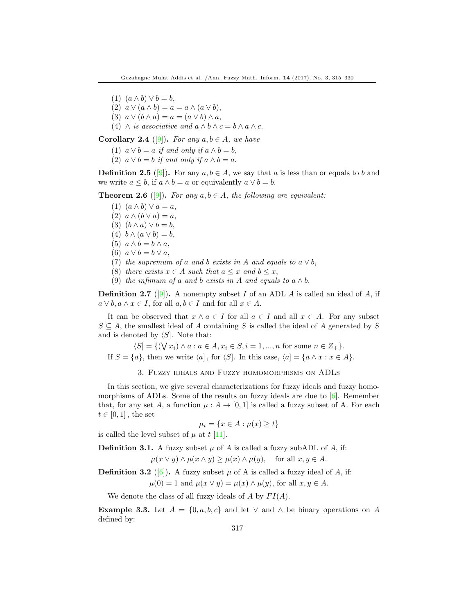- (1)  $(a \wedge b) \vee b = b$ ,
- (2)  $a \vee (a \wedge b) = a = a \wedge (a \vee b)$ ,
- (3)  $a \vee (b \wedge a) = a = (a \vee b) \wedge a$ ,
- (4)  $\wedge$  is associative and  $a \wedge b \wedge c = b \wedge a \wedge c$ .

**Corollary 2.4** ([\[9\]](#page-15-0)). For any  $a, b \in A$ , we have

- (1)  $a \vee b = a$  if and only if  $a \wedge b = b$ ,
- (2)  $a \vee b = b$  if and only if  $a \wedge b = a$ .

**Definition 2.5** ([\[9\]](#page-15-0)). For any  $a, b \in A$ , we say that a is less than or equals to b and we write  $a \leq b$ , if  $a \wedge b = a$  or equivalently  $a \vee b = b$ .

**Theorem 2.6** ([\[9\]](#page-15-0)). For any  $a, b \in A$ , the following are equivalent:

- (1)  $(a \wedge b) \vee a = a$ ,
- (2)  $a \wedge (b \vee a) = a$ ,
- (3)  $(b \wedge a) \vee b = b$ ,
- (4)  $b \wedge (a \vee b) = b$ ,
- (5)  $a \wedge b = b \wedge a$ ,
- (6)  $a \vee b = b \vee a$ ,
- (7) the supremum of a and b exists in A and equals to  $a \vee b$ ,
- (8) there exists  $x \in A$  such that  $a \leq x$  and  $b \leq x$ ,
- (9) the infimum of a and b exists in A and equals to  $a \wedge b$ .

**Definition 2.7** ([\[9\]](#page-15-0)). A nonempty subset I of an ADL A is called an ideal of A, if  $a \vee b, a \wedge x \in I$ , for all  $a, b \in I$  and for all  $x \in A$ .

It can be observed that  $x \wedge a \in I$  for all  $a \in I$  and all  $x \in A$ . For any subset  $S \subseteq A$ , the smallest ideal of A containing S is called the ideal of A generated by S and is denoted by  $\langle S|$ . Note that:

 $\langle S| = \{ (\forall x_i) \land a : a \in A, x_i \in S, i = 1, ..., n \text{ for some } n \in Z_+ \}.$ If  $S = \{a\}$ , then we write  $\langle a|$ , for  $\langle S|$ . In this case,  $\langle a| = \{a \wedge x : x \in A\}.$ 

3. Fuzzy ideals and Fuzzy homomorphisms on ADLs

In this section, we give several characterizations for fuzzy ideals and fuzzy homomorphisms of ADLs. Some of the results on fuzzy ideals are due to  $[6]$ . Remember that, for any set A, a function  $\mu : A \to [0,1]$  is called a fuzzy subset of A. For each  $t \in [0,1]$ , the set

$$
\mu_t = \{ x \in A : \mu(x) \ge t \}
$$

is called the level subset of  $\mu$  at  $t$  [\[11\]](#page-15-3).

**Definition 3.1.** A fuzzy subset  $\mu$  of A is called a fuzzy subADL of A, if:  $\mu(x \vee y) \wedge \mu(x \wedge y) \geq \mu(x) \wedge \mu(y)$ , for all  $x, y \in A$ .

**Definition 3.2** ([\[6\]](#page-15-9)). A fuzzy subset  $\mu$  of A is called a fuzzy ideal of A, if:  $\mu(0) = 1$  and  $\mu(x \vee y) = \mu(x) \wedge \mu(y)$ , for all  $x, y \in A$ .

We denote the class of all fuzzy ideals of  $A$  by  $FI(A)$ .

**Example 3.3.** Let  $A = \{0, a, b, c\}$  and let  $\vee$  and  $\wedge$  be binary operations on A defined by: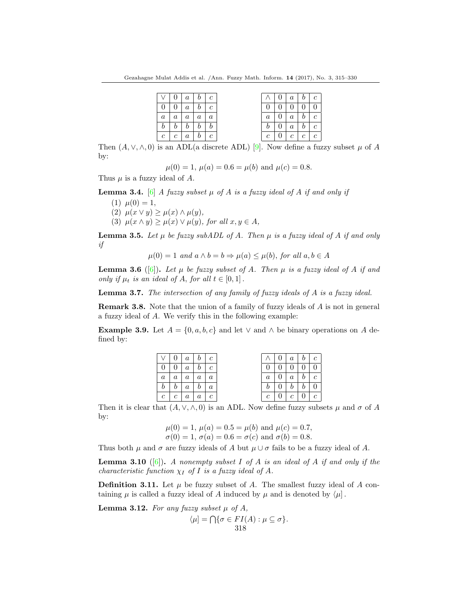|                | 0 <sup>1</sup> |                  | $a \mid b \mid$  | $\mathfrak{c}$ |         | 0 <sup>1</sup> |                | $a \mid b \mid$ |  |
|----------------|----------------|------------------|------------------|----------------|---------|----------------|----------------|-----------------|--|
|                |                | $\boldsymbol{a}$ | b                | $\overline{c}$ |         | 0              | $\overline{0}$ | $\overline{0}$  |  |
| $\it a$        | $\overline{a}$ | $\it a$          | $a-1$            | $\overline{a}$ | $\it a$ | $\overline{0}$ | $\overline{a}$ | b               |  |
|                |                | Ð                | $\boldsymbol{b}$ |                |         | 0              | $\overline{a}$ | b               |  |
| $\mathfrak{c}$ | $\mathfrak c$  | $\it a$          | $\mathfrak{b}^-$ | $\mathfrak{c}$ | с       | 0              | $\mathfrak{c}$ | $\overline{c}$  |  |

Then  $(A, \vee, \wedge, 0)$  is an ADL(a discrete ADL) [\[9\]](#page-15-0). Now define a fuzzy subset  $\mu$  of A by:

 $\mu(0) = 1, \mu(a) = 0.6 = \mu(b)$  and  $\mu(c) = 0.8$ .

Thus  $\mu$  is a fuzzy ideal of A.

**Lemma 3.4.** [\[6\]](#page-15-9) A fuzzy subset  $\mu$  of A is a fuzzy ideal of A if and only if

(1)  $\mu(0) = 1$ , (2)  $\mu(x \vee y) \geq \mu(x) \wedge \mu(y)$ , (3)  $\mu(x \wedge y) \geq \mu(x) \vee \mu(y)$ , for all  $x, y \in A$ ,

**Lemma 3.5.** Let  $\mu$  be fuzzy subADL of A. Then  $\mu$  is a fuzzy ideal of A if and only if

 $\mu(0) = 1$  and  $a \wedge b = b \Rightarrow \mu(a) \leq \mu(b)$ , for all  $a, b \in A$ 

**Lemma 3.6** ([\[6\]](#page-15-9)). Let  $\mu$  be fuzzy subset of A. Then  $\mu$  is a fuzzy ideal of A if and only if  $\mu_t$  is an ideal of A, for all  $t \in [0,1]$ .

Lemma 3.7. The intersection of any family of fuzzy ideals of A is a fuzzy ideal.

Remark 3.8. Note that the union of a family of fuzzy ideals of A is not in general a fuzzy ideal of A. We verify this in the following example:

**Example 3.9.** Let  $A = \{0, a, b, c\}$  and let  $\vee$  and  $\wedge$  be binary operations on A defined by:

|                | $\vee$   0   a   b   c          |                          |                   |  |                |                                     | $\vert 0 \vert a \vert b \vert c$ |                   |  |
|----------------|---------------------------------|--------------------------|-------------------|--|----------------|-------------------------------------|-----------------------------------|-------------------|--|
|                | 0 <sup>1</sup>                  |                          | $a \mid b \mid c$ |  |                | 0 <sup>1</sup>                      |                                   | 0   0   0         |  |
|                | $a \mid a \mid a \mid a \mid a$ |                          |                   |  |                | $a \mid 0 \mid$                     |                                   | $a \mid b \mid c$ |  |
| b              |                                 | $b \mid a \mid b \mid a$ |                   |  | b              |                                     |                                   | $b \mid b \mid 0$ |  |
| c <sub>1</sub> | c <sub>1</sub>                  |                          | $a \mid a \mid c$ |  | $\mathfrak{c}$ | $\begin{array}{cc} 0 & \end{array}$ |                                   | $c \mid 0 \mid c$ |  |

Then it is clear that  $(A, \vee, \wedge, 0)$  is an ADL. Now define fuzzy subsets  $\mu$  and  $\sigma$  of A by:

$$
\mu(0) = 1
$$
,  $\mu(a) = 0.5 = \mu(b)$  and  $\mu(c) = 0.7$ ,  
\n $\sigma(0) = 1$ ,  $\sigma(a) = 0.6 = \sigma(c)$  and  $\sigma(b) = 0.8$ .

Thus both  $\mu$  and  $\sigma$  are fuzzy ideals of A but  $\mu \cup \sigma$  fails to be a fuzzy ideal of A.

**Lemma 3.10** ([\[6\]](#page-15-9)). A nonempty subset I of A is an ideal of A if and only if the characteristic function  $\chi_I$  of I is a fuzzy ideal of A.

**Definition 3.11.** Let  $\mu$  be fuzzy subset of A. The smallest fuzzy ideal of A containing  $\mu$  is called a fuzzy ideal of A induced by  $\mu$  and is denoted by  $\langle \mu |$ .

**Lemma 3.12.** For any fuzzy subset  $\mu$  of A,  $\langle \mu | = \bigcap \{ \sigma \in FI(A) : \mu \subseteq \sigma \}.$ 318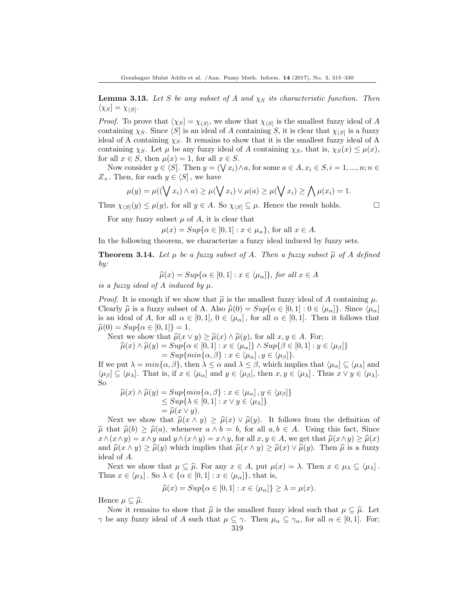**Lemma 3.13.** Let S be any subset of A and  $\chi_S$  its characteristic function. Then  $\langle \chi_S] = \chi_{\langle S|}.$ 

*Proof.* To prove that  $\langle \chi_S | = \chi_{(S)}$ , we show that  $\chi_{(S)}$  is the smallest fuzzy ideal of A containing  $\chi_S$ . Since  $\langle S \rangle$  is an ideal of A containing S, it is clear that  $\chi_{\langle S \rangle}$  is a fuzzy ideal of A containing  $\chi_S$ . It remains to show that it is the smallest fuzzy ideal of A containing  $\chi_S$ . Let  $\mu$  be any fuzzy ideal of A containing  $\chi_S$ , that is,  $\chi_S(x) \leq \mu(x)$ , for all  $x \in S$ , then  $\mu(x) = 1$ , for all  $x \in S$ .

Now consider  $y \in \langle S \rangle$ . Then  $y = (\bigvee x_i) \wedge a$ , for some  $a \in A, x_i \in S, i = 1, ..., n; n \in \mathbb{N}$  $Z_+$ . Then, for each  $y \in \langle S |$ , we have

$$
\mu(y) = \mu((\bigvee x_i) \land a) \ge \mu(\bigvee x_i) \lor \mu(a) \ge \mu(\bigvee x_i) \ge \bigwedge \mu(x_i) = 1.
$$

Thus  $\chi_{\langle S|}(y) \leq \mu(y)$ , for all  $y \in A$ . So  $\chi_{\langle S|} \subseteq \mu$ . Hence the result holds.

For any fuzzy subset  $\mu$  of A, it is clear that

 $\mu(x) = Sup\{\alpha \in [0,1]: x \in \mu_{\alpha}\},$  for all  $x \in A$ .

In the following theorem, we characterize a fuzzy ideal induced by fuzzy sets.

**Theorem 3.14.** Let  $\mu$  be a fuzzy subset of A. Then a fuzzy subset  $\widehat{\mu}$  of A defined by:

$$
\widehat{\mu}(x) = Sup\{\alpha \in [0,1] : x \in \langle \mu_{\alpha} \rangle\}, \text{ for all } x \in A
$$

is a fuzzy ideal of A induced by  $\mu$ .

*Proof.* It is enough if we show that  $\hat{\mu}$  is the smallest fuzzy ideal of A containing  $\mu$ . Clearly  $\hat{\mu}$  is a fuzzy subset of A. Also  $\hat{\mu}(0) = Sup{\alpha \in [0,1]: 0 \in \langle \mu_{\alpha}| \rangle}$ . Since  $\langle \mu_{\alpha}|$ is an ideal of A, for all  $\alpha \in [0,1], 0 \in \langle \mu_{\alpha} \rangle$ , for all  $\alpha \in [0,1]$ . Then it follows that  $\hat{\mu}(0) = Sup\{\alpha \in [0, 1]\} = 1.$ 

Next we show that  $\widehat{\mu}(x \vee y) \geq \widehat{\mu}(x) \wedge \widehat{\mu}(y)$ , for all  $x, y \in A$ . For;

$$
\begin{aligned} \widehat{\mu}(x) \wedge \widehat{\mu}(y) &= Sup\{\alpha \in [0,1] : x \in \langle \mu_{\alpha} \rangle\} \wedge Sup\{\beta \in [0,1] : y \in \langle \mu_{\beta} \rangle\} \\ &= Sup\{\min\{\alpha, \beta\} : x \in \langle \mu_{\alpha} \rangle, y \in \langle \mu_{\beta} \rangle\}. \end{aligned}
$$

If we put  $\lambda = min{\lbrace \alpha, \beta \rbrace}$ , then  $\lambda \leq \alpha$  and  $\lambda \leq \beta$ , which implies that  $\langle \mu_{\alpha} \rangle \subseteq \langle \mu_{\lambda} \rangle$  and  $\langle \mu_{\beta} \rangle \subseteq \langle \mu_{\lambda} \rangle$ . That is, if  $x \in \langle \mu_{\alpha} \rangle$  and  $y \in \langle \mu_{\beta} \rangle$ , then  $x, y \in \langle \mu_{\lambda} \rangle$ . Thus  $x \vee y \in \langle \mu_{\lambda} \rangle$ . So

$$
\hat{\mu}(x) \wedge \hat{\mu}(y) = Sup\{min\{\alpha, \beta\} : x \in \langle \mu_{\alpha} \rangle, y \in \langle \mu_{\beta} \} \le Sup\{\lambda \in [0, 1] : x \vee y \in \langle \mu_{\lambda} \} \} = \hat{\mu}(x \vee y).
$$
\nAt we show that  $\hat{\mu}(x, \lambda, y) \ge \hat{\mu}(x) \vee \hat{\mu}(y)$ . It follows:

Next we show that  $\hat{\mu}(x \wedge y) \geq \hat{\mu}(x) \vee \hat{\mu}(y)$ . It follows from the definition of  $\hat{\mu}$  that  $\hat{\mu}(b) \geq \hat{\mu}(a)$ , whenever  $a \wedge b = b$ , for all  $a, b \in A$ . Using this fact, Since  $x \wedge (x \wedge y) = x \wedge y$  and  $y \wedge (x \wedge y) = x \wedge y$ , for all  $x, y \in A$ , we get that  $\hat{\mu}(x \wedge y) \geq \hat{\mu}(x)$ and  $\hat{\mu}(x \wedge y) \geq \hat{\mu}(y)$  which implies that  $\hat{\mu}(x \wedge y) \geq \hat{\mu}(x) \vee \hat{\mu}(y)$ . Then  $\hat{\mu}$  is a fuzzy ideal of A.

Next we show that  $\mu \subseteq \hat{\mu}$ . For any  $x \in A$ , put  $\mu(x) = \lambda$ . Then  $x \in \mu_{\lambda} \subseteq {\langle \mu_{\lambda} \rangle}$ . Thus  $x \in {\langle} \mu_{\lambda}$ . So  $\lambda \in {\{\alpha \in [0,1]: x \in {\langle} \mu_{\alpha} \} \}$ , that is,

$$
\widehat{\mu}(x) = Sup\{\alpha \in [0,1] : x \in \langle \mu_{\alpha} \rangle\} \ge \lambda = \mu(x).
$$

Hence  $\mu \subseteq \widehat{\mu}$ .

Now it remains to show that  $\hat{\mu}$  is the smallest fuzzy ideal such that  $\mu \subseteq \hat{\mu}$ . Let  $\gamma$  be any fuzzy ideal of A such that  $\mu \subseteq \gamma$ . Then  $\mu_{\alpha} \subseteq \gamma_{\alpha}$ , for all  $\alpha \in [0,1]$ . For;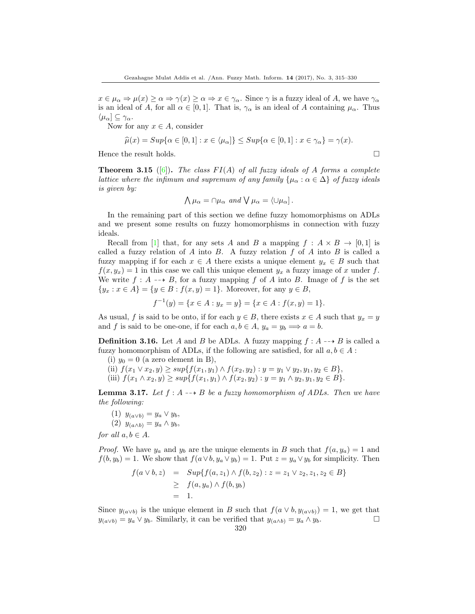$x \in \mu_\alpha \Rightarrow \mu(x) \geq \alpha \Rightarrow \gamma(x) \geq \alpha \Rightarrow x \in \gamma_\alpha$ . Since  $\gamma$  is a fuzzy ideal of A, we have  $\gamma_\alpha$ is an ideal of A, for all  $\alpha \in [0, 1]$ . That is,  $\gamma_{\alpha}$  is an ideal of A containing  $\mu_{\alpha}$ . Thus  $\langle \mu_\alpha] \subseteq \gamma_\alpha.$ 

Now for any  $x \in A$ , consider

$$
\widehat{\mu}(x) = Sup\{\alpha \in [0,1] : x \in \langle \mu_{\alpha} \rangle\} \leq Sup\{\alpha \in [0,1] : x \in \gamma_{\alpha}\} = \gamma(x).
$$

Hence the result holds.  $\Box$ 

**Theorem 3.15** ([\[6\]](#page-15-9)). The class  $FI(A)$  of all fuzzy ideals of A forms a complete lattice where the infimum and supremum of any family  $\{\mu_\alpha : \alpha \in \Delta\}$  of fuzzy ideals is given by:

$$
\bigwedge \mu_{\alpha} = \cap \mu_{\alpha} \text{ and } \bigvee \mu_{\alpha} = \langle \cup \mu_{\alpha} \rangle.
$$

In the remaining part of this section we define fuzzy homomorphisms on ADLs and we present some results on fuzzy homomorphisms in connection with fuzzy ideals.

Recall from [\[1\]](#page-15-10) that, for any sets A and B a mapping  $f : A \times B \to [0,1]$  is called a fuzzy relation of A into B. A fuzzy relation  $f$  of A into B is called a fuzzy mapping if for each  $x \in A$  there exists a unique element  $y_x \in B$  such that  $f(x, y_x) = 1$  in this case we call this unique element  $y_x$  a fuzzy image of x under f. We write  $f : A \dashrightarrow B$ , for a fuzzy mapping f of A into B. Image of f is the set  ${y_x : x \in A} = {y \in B : f(x, y) = 1}.$  Moreover, for any  $y \in B$ ,

$$
f^{-1}(y) = \{x \in A : y_x = y\} = \{x \in A : f(x, y) = 1\}.
$$

As usual, f is said to be onto, if for each  $y \in B$ , there exists  $x \in A$  such that  $y_x = y$ and f is said to be one-one, if for each  $a, b \in A$ ,  $y_a = y_b \Longrightarrow a = b$ .

**Definition 3.16.** Let A and B be ADLs. A fuzzy mapping  $f : A \rightarrow B$  is called a fuzzy homomorphism of ADLs, if the following are satisfied, for all  $a, b \in A$ :

- (i)  $y_0 = 0$  (a zero element in B),
- (ii)  $f(x_1 \vee x_2, y) \ge \sup\{f(x_1, y_1) \wedge f(x_2, y_2) : y = y_1 \vee y_2, y_1, y_2 \in B\},\$
- (iii)  $f(x_1 \wedge x_2, y) \ge \sup\{f(x_1, y_1) \wedge f(x_2, y_2) : y = y_1 \wedge y_2, y_1, y_2 \in B\}.$

**Lemma 3.17.** Let  $f : A \rightarrow B$  be a fuzzy homomorphism of ADLs. Then we have the following:

- (1)  $y_{(a \vee b)} = y_a \vee y_b$ ,
- (2)  $y_{(a \wedge b)} = y_a \wedge y_b$

for all  $a, b \in A$ .

*Proof.* We have  $y_a$  and  $y_b$  are the unique elements in B such that  $f(a, y_a) = 1$  and  $f(b, y_b) = 1$ . We show that  $f(a \vee b, y_a \vee y_b) = 1$ . Put  $z = y_a \vee y_b$  for simplicity. Then

$$
f(a \lor b, z) = Sup{f(a, z_1) \land f(b, z_2) : z = z_1 \lor z_2, z_1, z_2 \in B}
$$
  
\n
$$
\geq f(a, y_a) \land f(b, y_b)
$$
  
\n
$$
= 1.
$$

Since  $y_{(a \lor b)}$  is the unique element in B such that  $f(a \lor b, y_{(a \lor b)}) = 1$ , we get that  $y_{(a \vee b)} = y_a \vee y_b$ . Similarly, it can be verified that  $y_{(a \wedge b)} = y_a \wedge y_b$ .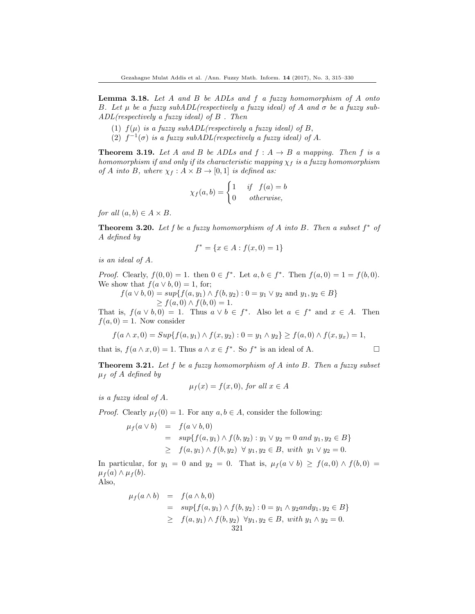**Lemma 3.18.** Let  $A$  and  $B$  be  $ADLs$  and  $f$  a fuzzy homomorphism of  $A$  onto B. Let  $\mu$  be a fuzzy subADL(respectively a fuzzy ideal) of A and  $\sigma$  be a fuzzy sub- $ADL$ (respectively a fuzzy ideal) of  $B$ . Then

- (1)  $f(\mu)$  is a fuzzy subADL(respectively a fuzzy ideal) of B,
- (2)  $f^{-1}(\sigma)$  is a fuzzy subADL(respectively a fuzzy ideal) of A.

**Theorem 3.19.** Let A and B be ADLs and  $f : A \rightarrow B$  a mapping. Then f is a homomorphism if and only if its characteristic mapping  $\chi_f$  is a fuzzy homomorphism of A into B, where  $\chi_f : A \times B \to [0,1]$  is defined as:

$$
\chi_f(a,b) = \begin{cases} 1 & \text{if } f(a) = b \\ 0 & \text{otherwise,} \end{cases}
$$

for all  $(a, b) \in A \times B$ .

**Theorem 3.20.** Let f be a fuzzy homomorphism of A into B. Then a subset  $f^*$  of A defined by

$$
f^* = \{ x \in A : f(x, 0) = 1 \}
$$

is an ideal of A.

*Proof.* Clearly,  $f(0,0) = 1$ . then  $0 \in f^*$ . Let  $a, b \in f^*$ . Then  $f(a, 0) = 1 = f(b, 0)$ . We show that  $f(a \vee b, 0) = 1$ , for;

 $f(a \vee b, 0) = \sup\{f(a, y_1) \wedge f(b, y_2) : 0 = y_1 \vee y_2 \text{ and } y_1, y_2 \in B\}$  $\geq f(a, 0) \wedge f(b, 0) = 1.$ 

That is,  $f(a \vee b, 0) = 1$ . Thus  $a \vee b \in f^*$ . Also let  $a \in f^*$  and  $x \in A$ . Then  $f(a, 0) = 1$ . Now consider

$$
f(a \wedge x, 0) = Sup\{f(a, y_1) \wedge f(x, y_2) : 0 = y_1 \wedge y_2\} \ge f(a, 0) \wedge f(x, y_x) = 1,
$$

that is,  $f(a \wedge x, 0) = 1$ . Thus  $a \wedge x \in f^*$ . So  $f^*$  is an ideal of A.

**Theorem 3.21.** Let f be a fuzzy homomorphism of A into B. Then a fuzzy subset  $\mu_f$  of A defined by

$$
\mu_f(x) = f(x, 0), \text{ for all } x \in A
$$

is a fuzzy ideal of A.

*Proof.* Clearly  $\mu_f(0) = 1$ . For any  $a, b \in A$ , consider the following:

$$
\mu_f(a \lor b) = f(a \lor b, 0)
$$
  
=  $sup\{f(a, y_1) \land f(b, y_2) : y_1 \lor y_2 = 0 \text{ and } y_1, y_2 \in B\}$   
 $\geq f(a, y_1) \land f(b, y_2) \lor y_1, y_2 \in B, \text{ with } y_1 \lor y_2 = 0.$ 

In particular, for  $y_1 = 0$  and  $y_2 = 0$ . That is,  $\mu_f(a \vee b) \ge f(a, 0) \wedge f(b, 0) =$  $\mu_f(a) \wedge \mu_f(b).$ 

$$
\mathrm{Also},
$$

$$
\mu_f(a \wedge b) = f(a \wedge b, 0)
$$
  
=  $sup\{f(a, y_1) \wedge f(b, y_2) : 0 = y_1 \wedge y_2 \text{ and } y_1, y_2 \in B\}$   
 $\geq f(a, y_1) \wedge f(b, y_2) \forall y_1, y_2 \in B, \text{ with } y_1 \wedge y_2 = 0.$   
321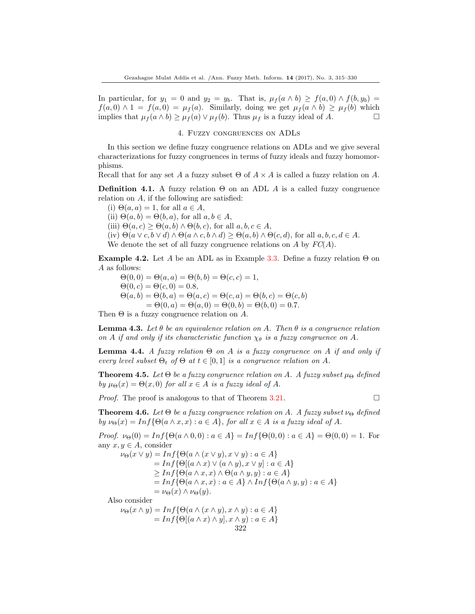In particular, for  $y_1 = 0$  and  $y_2 = y_b$ . That is,  $\mu_f(a \wedge b) \ge f(a, 0) \wedge f(b, y_b) =$  $f(a, 0) \wedge 1 = f(a, 0) = \mu_f(a)$ . Similarly, doing we get  $\mu_f(a \wedge b) \geq \mu_f(b)$  which implies that  $\mu_f(a \wedge b) \geq \mu_f(a) \vee \mu_f(b)$ . Thus  $\mu_f$  is a fuzzy ideal of A.

#### 4. Fuzzy congruences on ADLs

In this section we define fuzzy congruence relations on ADLs and we give several characterizations for fuzzy congruences in terms of fuzzy ideals and fuzzy homomorphisms.

Recall that for any set A a fuzzy subset  $\Theta$  of  $A \times A$  is called a fuzzy relation on A.

**Definition 4.1.** A fuzzy relation  $\Theta$  on an ADL A is a called fuzzy congruence relation on A, if the following are satisfied:

(i)  $\Theta(a, a) = 1$ , for all  $a \in A$ , (ii)  $\Theta(a, b) = \Theta(b, a)$ , for all  $a, b \in A$ , (iii)  $\Theta(a, c) \geq \Theta(a, b) \wedge \Theta(b, c)$ , for all  $a, b, c \in A$ , (iv)  $\Theta(a \vee c, b \vee d) \wedge \Theta(a \wedge c, b \wedge d) > \Theta(a, b) \wedge \Theta(c, d)$ , for all  $a, b, c, d \in A$ . We denote the set of all fuzzy congruence relations on A by  $FC(A)$ .

**Example 4.2.** Let A be an ADL as in Example 3.3. Define a fuzzy relation  $\Theta$  on A as follows:

 $\Theta(0, 0) = \Theta(a, a) = \Theta(b, b) = \Theta(c, c) = 1,$  $\Theta(0, c) = \Theta(c, 0) = 0.8,$  $\Theta(a, b) = \Theta(b, a) = \Theta(a, c) = \Theta(c, a) = \Theta(b, c) = \Theta(c, b)$  $= \Theta(0, a) = \Theta(a, 0) = \Theta(0, b) = \Theta(b, 0) = 0.7.$ 

Then  $\Theta$  is a fuzzy congruence relation on A.

**Lemma 4.3.** Let  $\theta$  be an equivalence relation on A. Then  $\theta$  is a congruence relation on A if and only if its characteristic function  $\chi_{\theta}$  is a fuzzy congruence on A.

**Lemma 4.4.** A fuzzy relation  $\Theta$  on A is a fuzzy congruence on A if and only if every level subset  $\Theta_t$  of  $\Theta$  at  $t \in [0,1]$  is a congruence relation on A.

**Theorem 4.5.** Let  $\Theta$  be a fuzzy congruence relation on A. A fuzzy subset  $\mu_{\Theta}$  defined by  $\mu_{\Theta}(x) = \Theta(x, 0)$  for all  $x \in A$  is a fuzzy ideal of A.

*Proof.* The proof is analogous to that of Theorem 3.21.

**Theorem 4.6.** Let  $\Theta$  be a fuzzy congruence relation on A. A fuzzy subset  $\nu_{\Theta}$  defined by  $\nu_{\Theta}(x) = Inf{\Theta(a \wedge x, x) : a \in A\}$ , for all  $x \in A$  is a fuzzy ideal of A.

Proof.  $\nu_{\Theta}(0) = \text{Inf}\{\Theta(a \wedge 0, 0) : a \in A\} = \text{Inf}\{\Theta(0, 0) : a \in A\} = \Theta(0, 0) = 1.$  For any  $x, y \in A$ , consider

 $\nu_{\Theta}(x \vee y) = Inf{\Theta(a \wedge (x \vee y), x \vee y) : a \in A\}$  $= Inf\{\Theta[(a \wedge x) \vee (a \wedge y), x \vee y] : a \in A\}$  $\geq Inf\{\Theta(a \wedge x, x) \wedge \Theta(a \wedge y, y) : a \in A\}$  $= Inf{\Theta(a \wedge x, x) : a \in A} \wedge Inf{\Theta(a \wedge y, y) : a \in A}$  $=\nu_{\Theta}(x) \wedge \nu_{\Theta}(y).$ 

Also consider

 $\nu_{\Theta}(x \wedge y) = Inf{\Theta(a \wedge (x \wedge y), x \wedge y) : a \in A\}$  $= Inf\{\Theta[(a \wedge x) \wedge y], x \wedge y) : a \in A\}$ 322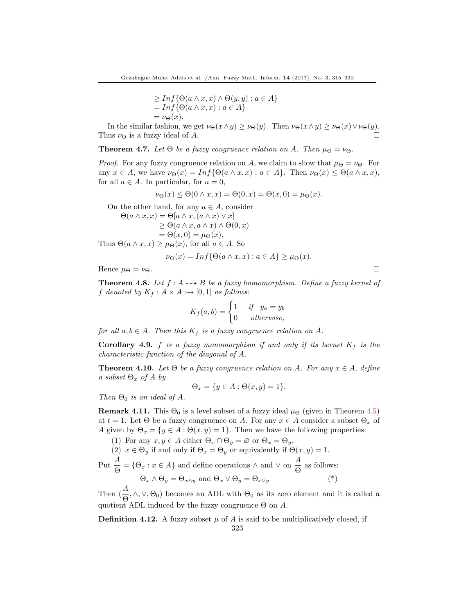$$
\geq Inf \{ \Theta(a \wedge x, x) \wedge \Theta(y, y) : a \in A \}
$$
  
= Inf \{ \Theta(a \wedge x, x) : a \in A \}  
=  $\nu_{\Theta}(x)$ .

In the similar fashion, we get  $\nu_{\Theta}(x \wedge y) \geq \nu_{\Theta}(y)$ . Then  $\nu_{\Theta}(x \wedge y) \geq \nu_{\Theta}(x) \vee \nu_{\Theta}(y)$ . Thus  $\nu_{\Theta}$  is a fuzzy ideal of A.

**Theorem 4.7.** Let  $\Theta$  be a fuzzy congruence relation on A. Then  $\mu_{\Theta} = \nu_{\Theta}$ .

*Proof.* For any fuzzy congruence relation on A, we claim to show that  $\mu_{\Theta} = \nu_{\Theta}$ . For any  $x \in A$ , we have  $\nu_{\Theta}(x) = \text{Inf}\{\Theta(a \wedge x, x) : a \in A\}$ . Then  $\nu_{\Theta}(x) \leq \Theta(a \wedge x, x)$ , for all  $a \in A$ . In particular, for  $a = 0$ ,

$$
\nu_{\Theta}(x) \leq \Theta(0 \wedge x, x) = \Theta(0, x) = \Theta(x, 0) = \mu_{\Theta}(x).
$$

On the other hand, for any  $a \in A$ , consider

$$
\Theta(a \wedge x, x) = \Theta[a \wedge x, (a \wedge x) \vee x]
$$
  
\n
$$
\geq \Theta(a \wedge x, a \wedge x) \wedge \Theta(0, x)
$$
  
\n
$$
= \Theta(x, 0) = \mu_{\Theta}(x).
$$
  
\nThus  $\Theta(a \wedge x, x) \geq \mu_{\Theta}(x)$ , for all  $a \in A$ . So  
\n
$$
\nu_{\Theta}(x) = Inf{\Theta(a \wedge x, x) : a \in A} \geq \mu_{\Theta}(x).
$$

Hence  $\mu_{\Theta} = \nu_{\Theta}$ .

**Theorem 4.8.** Let  $f : A \rightarrow B$  be a fuzzy homomorphism. Define a fuzzy kernel of f denoted by  $K_f : A \times A : \rightarrow [0,1]$  as follows:

$$
K_f(a,b) = \begin{cases} 1 & \text{if } y_a = y_b \\ 0 & \text{otherwise,} \end{cases}
$$

for all  $a, b \in A$ . Then this  $K_f$  is a fuzzy congruence relation on A.

**Corollary 4.9.** f is a fuzzy monomorphism if and only if its kernel  $K_f$  is the characteristic function of the diagonal of A.

**Theorem 4.10.** Let  $\Theta$  be a fuzzy congruence relation on A. For any  $x \in A$ , define a subset  $\Theta_x$  of A by

$$
\Theta_x = \{ y \in A : \Theta(x, y) = 1 \}.
$$

Then  $\Theta_0$  is an ideal of A.

**Remark 4.11.** This  $\Theta_0$  is a level subset of a fuzzy ideal  $\mu_{\Theta}$  (given in Theorem 4.5) at  $t = 1$ . Let  $\Theta$  be a fuzzy congruence on A. For any  $x \in A$  consider a subset  $\Theta_x$  of A given by  $\Theta_x = \{y \in A : \Theta(x, y) = 1\}$ . Then we have the following properties:

(1) For any  $x, y \in A$  either  $\Theta_x \cap \Theta_y = \emptyset$  or  $\Theta_x = \Theta_y$ , (2)  $x \in \Theta_y$  if and only if  $\Theta_x = \Theta_y$  or equivalently if  $\Theta(x, y) = 1$ . Put  $\frac{A}{\Theta} = \{\Theta_x : x \in A\}$  and define operations  $\wedge$  and  $\vee$  on  $\frac{A}{\Theta}$  $\frac{1}{\Theta}$  as follows:  $\Theta_x \wedge \Theta_y = \Theta_{x \wedge y}$  and  $\Theta_x \vee \Theta_y = \Theta_{x \vee y}$  (\*)

Then  $(\frac{A}{\Theta}, \wedge, \vee, \Theta_0)$  becomes an ADL with  $\Theta_0$  as its zero element and it is called a quotient ADL induced by the fuzzy congruence  $\Theta$  on A.

**Definition 4.12.** A fuzzy subset  $\mu$  of A is said to be multiplicatively closed, if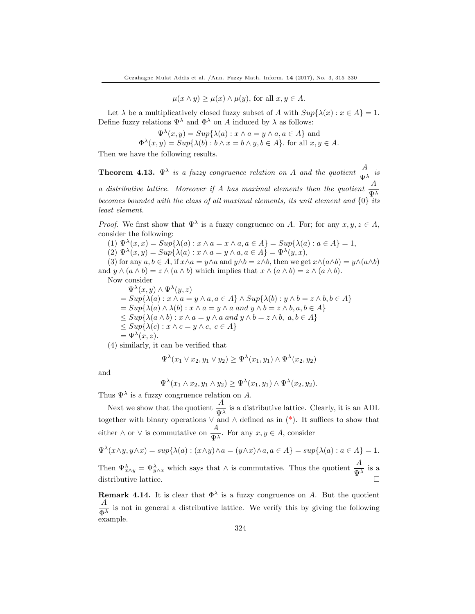$\mu(x \wedge y) \geq \mu(x) \wedge \mu(y)$ , for all  $x, y \in A$ .

Let  $\lambda$  be a multiplicatively closed fuzzy subset of A with  $Sup\{\lambda(x): x \in A\} = 1$ . Define fuzzy relations  $\Psi^{\lambda}$  and  $\Phi^{\lambda}$  on A induced by  $\lambda$  as follows:

$$
\Psi^{\lambda}(x, y) = Sup{\lambda(a) : x \wedge a = y \wedge a, a \in A} \text{ and}
$$
  

$$
\Phi^{\lambda}(x, y) = Sup{\lambda(b) : b \wedge x = b \wedge y, b \in A}.
$$
 for all  $x, y \in A$ .

Then we have the following results.

**Theorem 4.13.**  $\Psi^{\lambda}$  is a fuzzy congruence relation on A and the quotient  $\frac{A}{\Psi^{\lambda}}$  is a distributive lattice. Moreover if A has maximal elements then the quotient  $\frac{A}{\Psi^{\lambda}}$ becomes bounded with the class of all maximal elements, its unit element and  $\{0\}$  its least element.

*Proof.* We first show that  $\Psi^{\lambda}$  is a fuzzy congruence on A. For; for any  $x, y, z \in A$ , consider the following:

(1)  $\Psi^{\lambda}(x, x) = Sup{\lambda(a) : x \wedge a = x \wedge a, a \in A} = Sup{\lambda(a) : a \in A} = 1,$ 

(2)  $\Psi^{\lambda}(x, y) = Sup{\lambda(a) : x \wedge a = y \wedge a, a \in A} = \Psi^{\lambda}(y, x),$ 

(3) for any  $a, b \in A$ , if  $x \wedge a = y \wedge a$  and  $y \wedge b = z \wedge b$ , then we get  $x \wedge (a \wedge b) = y \wedge (a \wedge b)$ and  $y \wedge (a \wedge b) = z \wedge (a \wedge b)$  which implies that  $x \wedge (a \wedge b) = z \wedge (a \wedge b)$ .

Now consider

 $\Psi^{\lambda}(x, y) \wedge \Psi^{\lambda}(y, z)$  $= Sup{\lambda(a): x \wedge a = y \wedge a, a \in A} \wedge Sup{\lambda(b): y \wedge b = z \wedge b, b \in A}$  $= Sup{\lambda(a)\wedge\lambda(b): x\wedge a=y\wedge a \text{ and } y\wedge b=z\wedge b, a,b\in A}$  $\leq Sup\{\lambda(a\wedge b):x\wedge a=y\wedge a\text{ and }y\wedge b=z\wedge b,\text{ }a,b\in A\}$  $\leq$  Sup{ $\lambda(c): x \wedge c = y \wedge c, c \in A$ }  $=\Psi^{\lambda}(x,z).$ 

(4) similarly, it can be verified that

$$
\Psi^{\lambda}(x_1 \vee x_2, y_1 \vee y_2) \ge \Psi^{\lambda}(x_1, y_1) \wedge \Psi^{\lambda}(x_2, y_2)
$$

and

$$
\Psi^{\lambda}(x_1 \wedge x_2, y_1 \wedge y_2) \geq \Psi^{\lambda}(x_1, y_1) \wedge \Psi^{\lambda}(x_2, y_2).
$$

Thus  $\Psi^{\lambda}$  is a fuzzy congruence relation on A.

Next we show that the quotient  $\frac{A}{\Psi^{\lambda}}$  is a distributive lattice. Clearly, it is an ADL together with binary operations  $\vee$  and  $\wedge$  defined as in  $(*)$ . It suffices to show that either  $\wedge$  or  $\vee$  is commutative on  $\frac{A}{\pi}$  $\frac{d}{d\mu}$ . For any  $x, y \in A$ , consider

$$
\Psi^{\lambda}(x \wedge y, y \wedge x) = \sup \{ \lambda(a) : (x \wedge y) \wedge a = (y \wedge x) \wedge a, a \in A \} = \sup \{ \lambda(a) : a \in A \} = 1.
$$
  
Then  $\Psi^{\lambda}_{x \wedge y} = \Psi^{\lambda}_{y \wedge x}$  which says that  $\wedge$  is commutative. Thus the quotient  $\frac{A}{\Psi^{\lambda}}$  is a

distributive lattice.

**Remark 4.14.** It is clear that  $\Phi^{\lambda}$  is a fuzzy congruence on A. But the quotient A  $\frac{1}{\Phi^{\lambda}}$  is not in general a distributive lattice. We verify this by giving the following example.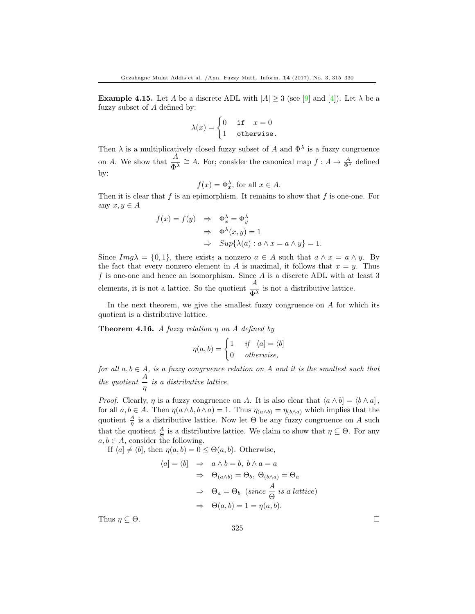**Example 4.15.** Let A be a discrete ADL with  $|A| \geq 3$  (see [\[9\]](#page-15-0) and [\[4\]](#page-15-2)). Let  $\lambda$  be a fuzzy subset of A defined by:

$$
\lambda(x) = \begin{cases} 0 & \text{if} \quad x = 0 \\ 1 & \text{otherwise.} \end{cases}
$$

Then  $\lambda$  is a multiplicatively closed fuzzy subset of A and  $\Phi^{\lambda}$  is a fuzzy congruence on A. We show that  $\frac{A}{\Phi^{\lambda}} \cong A$ . For; consider the canonical map  $f : A \to \frac{A}{\Phi^{\lambda}}$  defined by:

$$
f(x) = \Phi_x^{\lambda}, \text{ for all } x \in A.
$$

Then it is clear that  $f$  is an epimorphism. It remains to show that  $f$  is one-one. For any  $x, y \in A$ 

$$
f(x) = f(y) \Rightarrow \Phi_x^{\lambda} = \Phi_y^{\lambda}
$$
  

$$
\Rightarrow \Phi^{\lambda}(x, y) = 1
$$
  

$$
\Rightarrow Sup{\lambda(a) : a \wedge x = a \wedge y} = 1.
$$

Since  $Im g\lambda = \{0,1\}$ , there exists a nonzero  $a \in A$  such that  $a \wedge x = a \wedge y$ . By the fact that every nonzero element in A is maximal, it follows that  $x = y$ . Thus  $f$  is one-one and hence an isomorphism. Since  $A$  is a discrete ADL with at least 3 elements, it is not a lattice. So the quotient  $\frac{A}{\Phi^{\lambda}}$  is not a distributive lattice.

In the next theorem, we give the smallest fuzzy congruence on  $A$  for which its quotient is a distributive lattice.

**Theorem 4.16.** A fuzzy relation  $\eta$  on A defined by

$$
\eta(a,b) = \begin{cases} 1 & \text{if } \langle a] = \langle b] \\ 0 & \text{otherwise,} \end{cases}
$$

for all  $a, b \in A$ , is a fuzzy congruence relation on A and it is the smallest such that the quotient  $\frac{A}{\eta}$  is a distributive lattice.

*Proof.* Clearly,  $\eta$  is a fuzzy congruence on A. It is also clear that  $\langle a \wedge b \rangle = \langle b \wedge a \rangle$ , for all  $a, b \in A$ . Then  $\eta(a \wedge b, b \wedge a) = 1$ . Thus  $\eta(a \wedge b) = \eta(b \wedge a)$  which implies that the quotient  $\frac{A}{\eta}$  is a distributive lattice. Now let  $\Theta$  be any fuzzy congruence on A such that the quotient  $\frac{A}{\Theta}$  is a distributive lattice. We claim to show that  $\eta \subseteq \Theta$ . For any  $a, b \in A$ , consider the following.

If  $\langle a \rangle \neq \langle b \rangle$ , then  $\eta(a, b) = 0 \leq \Theta(a, b)$ . Otherwise,

$$
\langle a] = \langle b] \Rightarrow a \wedge b = b, b \wedge a = a
$$
  

$$
\Rightarrow \Theta_{(a \wedge b)} = \Theta_b, \Theta_{(b \wedge a)} = \Theta_a
$$
  

$$
\Rightarrow \Theta_a = \Theta_b \text{ (since } \frac{A}{\Theta} \text{ is a lattice)}
$$
  

$$
\Rightarrow \Theta(a, b) = 1 = \eta(a, b).
$$

Thus  $\eta \subseteq \Theta$ .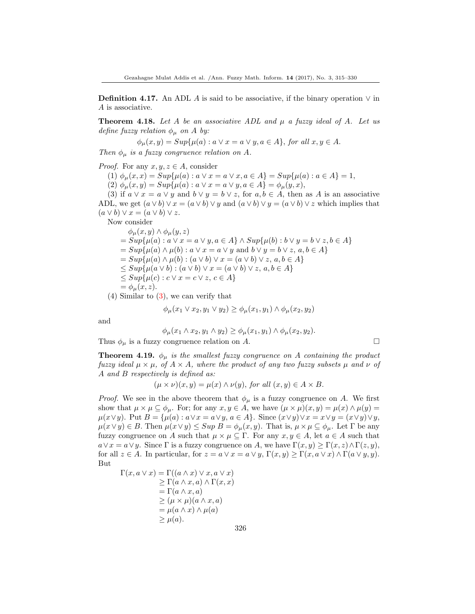**Definition 4.17.** An ADL A is said to be associative, if the binary operation  $\vee$  in A is associative.

**Theorem 4.18.** Let A be an associative ADL and  $\mu$  a fuzzy ideal of A. Let us define fuzzy relation  $\phi_{\mu}$  on A by:

$$
\phi_{\mu}(x, y) = Sup\{\mu(a) : a \lor x = a \lor y, a \in A\}, \text{ for all } x, y \in A.
$$

Then  $\phi_{\mu}$  is a fuzzy congruence relation on A.

*Proof.* For any  $x, y, z \in A$ , consider

(1)  $\phi_{\mu}(x, x) = Sup{\mu(a) : a \vee x = a \vee x, a \in A} = Sup{\mu(a) : a \in A} = 1,$ (2)  $\phi_{\mu}(x, y) = Sup{\mu(a) : a \vee x = a \vee y, a \in A} = \phi_{\mu}(y, x),$ 

(3) if  $a \vee x = a \vee y$  and  $b \vee y = b \vee z$ , for  $a, b \in A$ , then as A is an associative ADL, we get  $(a \vee b) \vee x = (a \vee b) \vee y$  and  $(a \vee b) \vee y = (a \vee b) \vee z$  which implies that  $(a \vee b) \vee x = (a \vee b) \vee z.$ 

Now consider

$$
\begin{aligned}\n\phi_{\mu}(x, y) \wedge \phi_{\mu}(y, z) \\
&= Sup\{\mu(a) : a \lor x = a \lor y, a \in A\} \wedge Sup\{\mu(b) : b \lor y = b \lor z, b \in A\} \\
&= Sup\{\mu(a) \land \mu(b) : a \lor x = a \lor y \text{ and } b \lor y = b \lor z, a, b \in A\} \\
&= Sup\{\mu(a) \land \mu(b) : (a \lor b) \lor x = (a \lor b) \lor z, a, b \in A\} \\
&\le Sup\{\mu(a \lor b) : (a \lor b) \lor x = (a \lor b) \lor z, a, b \in A\} \\
&\le Sup\{\mu(c) : c \lor x = c \lor z, c \in A\} \\
&= \phi_{\mu}(x, z).\n\end{aligned}
$$

(4) Similar to (3), we can verify that

$$
\phi_{\mu}(x_1 \vee x_2, y_1 \vee y_2) \ge \phi_{\mu}(x_1, y_1) \wedge \phi_{\mu}(x_2, y_2)
$$

and

$$
\phi_{\mu}(x_1 \wedge x_2, y_1 \wedge y_2) \ge \phi_{\mu}(x_1, y_1) \wedge \phi_{\mu}(x_2, y_2).
$$

Thus  $\phi_{\mu}$  is a fuzzy congruence relation on A.

**Theorem 4.19.**  $\phi_{\mu}$  is the smallest fuzzy congruence on A containing the product fuzzy ideal  $\mu \times \mu$ , of  $A \times A$ , where the product of any two fuzzy subsets  $\mu$  and  $\nu$  of A and B respectively is defined as:

$$
(\mu \times \nu)(x, y) = \mu(x) \wedge \nu(y)
$$
, for all  $(x, y) \in A \times B$ .

*Proof.* We see in the above theorem that  $\phi_{\mu}$  is a fuzzy congruence on A. We first show that  $\mu \times \mu \subseteq \phi_{\mu}$ . For; for any  $x, y \in A$ , we have  $(\mu \times \mu)(x, y) = \mu(x) \wedge \mu(y) =$  $\mu(x\vee y)$ . Put  $B = {\mu(a) : a \vee x = a \vee y, a \in A}$ . Since  $(x \vee y) \vee x = x \vee y = (x \vee y) \vee y$ ,  $\mu(x\vee y)\in B$ . Then  $\mu(x\vee y)\leq Sup\ B=\phi_{\mu}(x,y)$ . That is,  $\mu\times\mu\subseteq\phi_{\mu}$ . Let  $\Gamma$  be any fuzzy congruence on A such that  $\mu \times \mu \subseteq \Gamma$ . For any  $x, y \in A$ , let  $a \in A$  such that  $a \vee x = a \vee y$ . Since Γ is a fuzzy congruence on A, we have  $\Gamma(x, y) \geq \Gamma(x, z) \wedge \Gamma(z, y)$ , for all  $z \in A$ . In particular, for  $z = a \vee x = a \vee y$ ,  $\Gamma(x, y) \geq \Gamma(x, a \vee x) \wedge \Gamma(a \vee y, y)$ . But

$$
\Gamma(x, a \lor x) = \Gamma((a \land x) \lor x, a \lor x)
$$
  
\n
$$
\geq \Gamma(a \land x, a) \land \Gamma(x, x)
$$
  
\n
$$
= \Gamma(a \land x, a)
$$
  
\n
$$
\geq (\mu \times \mu)(a \land x, a)
$$
  
\n
$$
= \mu(a \land x) \land \mu(a)
$$
  
\n
$$
\geq \mu(a).
$$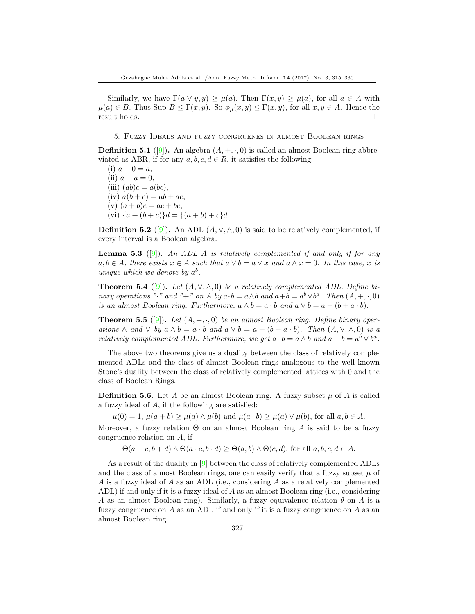Similarly, we have  $\Gamma(a \vee y, y) \geq \mu(a)$ . Then  $\Gamma(x, y) \geq \mu(a)$ , for all  $a \in A$  with  $\mu(a) \in B$ . Thus Sup  $B \leq \Gamma(x, y)$ . So  $\phi_u(x, y) \leq \Gamma(x, y)$ , for all  $x, y \in A$ . Hence the  $r$ esult holds.  $\Box$ 

#### 5. Fuzzy Ideals and fuzzy congruenes in almost Boolean rings

**Definition 5.1** ([\[9\]](#page-15-0)). An algebra  $(A, +, \cdot, 0)$  is called an almost Boolean ring abbreviated as ABR, if for any  $a, b, c, d \in R$ , it satisfies the following:

(i)  $a + 0 = a$ , (ii)  $a + a = 0$ , (iii)  $(ab)c = a(bc),$ (iv)  $a(b + c) = ab + ac$ , (v)  $(a + b)c = ac + bc$ , (vi)  $\{a + (b + c)\}d = \{(a + b) + c\}d.$ 

**Definition 5.2** ([\[9\]](#page-15-0)). An ADL  $(A, \vee, \wedge, 0)$  is said to be relatively complemented, if every interval is a Boolean algebra.

**Lemma 5.3** ([\[9\]](#page-15-0)). An ADL A is relatively complemented if and only if for any  $a, b \in A$ , there exists  $x \in A$  such that  $a \vee b = a \vee x$  and  $a \wedge x = 0$ . In this case, x is unique which we denote by  $a^b$ .

**Theorem 5.4** ([\[9\]](#page-15-0)). Let  $(A, \vee, \wedge, 0)$  be a relatively complemented ADL. Define binary operations "·" and "+" on A by  $a \cdot b = a \wedge b$  and  $a + b = a^b \vee b^a$ . Then  $(A, +, \cdot, 0)$ is an almost Boolean ring. Furthermore,  $a \wedge b = a \cdot b$  and  $a \vee b = a + (b + a \cdot b)$ .

**Theorem 5.5** ([\[9\]](#page-15-0)). Let  $(A, +, \cdot, 0)$  be an almost Boolean ring. Define binary operations  $\wedge$  and  $\vee$  by  $a \wedge b = a \cdot b$  and  $a \vee b = a + (b + a \cdot b)$ . Then  $(A, \vee, \wedge, 0)$  is a relatively complemented ADL. Furthermore, we get  $a \cdot b = a \wedge b$  and  $a + b = a^b \vee b^a$ .

The above two theorems give us a duality between the class of relatively complemented ADLs and the class of almost Boolean rings analogous to the well known Stone's duality between the class of relatively complemented lattices with 0 and the class of Boolean Rings.

**Definition 5.6.** Let A be an almost Boolean ring. A fuzzy subset  $\mu$  of A is called a fuzzy ideal of A, if the following are satisfied:

 $\mu(0) = 1, \mu(a+b) \geq \mu(a) \wedge \mu(b)$  and  $\mu(a \cdot b) \geq \mu(a) \vee \mu(b)$ , for all  $a, b \in A$ .

Moreover, a fuzzy relation  $\Theta$  on an almost Boolean ring A is said to be a fuzzy congruence relation on A, if

 $\Theta(a+c, b+d) \wedge \Theta(a \cdot c, b \cdot d) \geq \Theta(a, b) \wedge \Theta(c, d)$ , for all  $a, b, c, d \in A$ .

As a result of the duality in [\[9\]](#page-15-0) between the class of relatively complemented ADLs and the class of almost Boolean rings, one can easily verify that a fuzzy subset  $\mu$  of A is a fuzzy ideal of A as an ADL (i.e., considering A as a relatively complemented ADL) if and only if it is a fuzzy ideal of A as an almost Boolean ring (i.e., considering A as an almost Boolean ring). Similarly, a fuzzy equivalence relation  $\theta$  on A is a fuzzy congruence on  $A$  as an ADL if and only if it is a fuzzy congruence on  $A$  as an almost Boolean ring.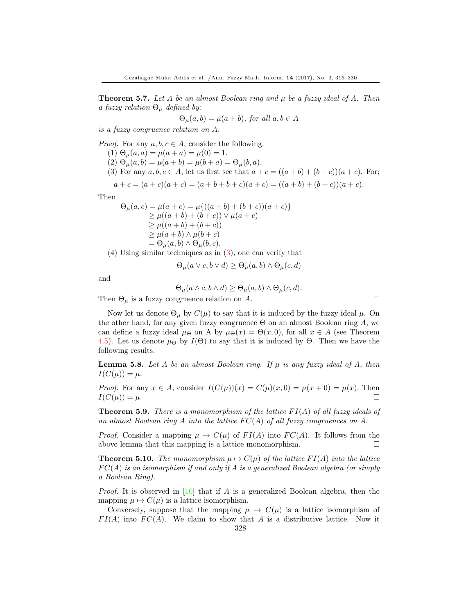**Theorem 5.7.** Let A be an almost Boolean ring and  $\mu$  be a fuzzy ideal of A. Then a fuzzy relation  $\Theta_{\mu}$  defined by:

$$
\Theta_{\mu}(a,b) = \mu(a+b), \text{ for all } a,b \in A
$$

is a fuzzy congruence relation on A.

*Proof.* For any  $a, b, c \in A$ , consider the following.

- (1)  $\Theta_{\mu}(a, a) = \mu(a + a) = \mu(0) = 1.$
- (2)  $\Theta_{\mu}(a, b) = \mu(a + b) = \mu(b + a) = \Theta_{\mu}(b, a).$
- (3) For any  $a, b, c \in A$ , let us first see that  $a + c = ((a + b) + (b + c))(a + c)$ . For;

$$
a + c = (a + c)(a + c) = (a + b + b + c)(a + c) = ((a + b) + (b + c))(a + c).
$$

Then

$$
\Theta_{\mu}(a, c) = \mu(a + c) = \mu\{((a + b) + (b + c))(a + c)\}\
$$
  
\n
$$
\geq \mu((a + b) + (b + c)) \vee \mu(a + c)
$$
  
\n
$$
\geq \mu((a + b) + (b + c))
$$
  
\n
$$
\geq \mu(a + b) \wedge \mu(b + c)
$$
  
\n
$$
= \Theta_{\mu}(a, b) \wedge \Theta_{\mu}(b, c).
$$

(4) Using similar techniques as in (3), one can verify that

$$
\Theta_{\mu}(a \lor c, b \lor d) \ge \Theta_{\mu}(a, b) \land \Theta_{\mu}(c, d)
$$

and

$$
\Theta_{\mu}(a \wedge c, b \wedge d) \ge \Theta_{\mu}(a, b) \wedge \Theta_{\mu}(c, d).
$$

Then  $\Theta_{\mu}$  is a fuzzy congruence relation on A.

Now let us denote  $\Theta_{\mu}$  by  $C(\mu)$  to say that it is induced by the fuzzy ideal  $\mu$ . On the other hand, for any given fuzzy congruence  $\Theta$  on an almost Boolean ring A, we can define a fuzzy ideal  $\mu_{\Theta}$  on A by  $\mu_{\Theta}(x) = \Theta(x,0)$ , for all  $x \in A$  (see Theorem 4.5). Let us denote  $\mu_{\Theta}$  by  $I(\Theta)$  to say that it is induced by  $\Theta$ . Then we have the following results.

**Lemma 5.8.** Let A be an almost Boolean ring. If  $\mu$  is any fuzzy ideal of A, then  $I(C(\mu)) = \mu.$ 

*Proof.* For any  $x \in A$ , consider  $I(C(\mu))(x) = C(\mu)(x, 0) = \mu(x + 0) = \mu(x)$ . Then  $I(C(\mu)) = \mu.$ 

**Theorem 5.9.** There is a monomorphism of the lattice  $FI(A)$  of all fuzzy ideals of an almost Boolean ring A into the lattice  $FC(A)$  of all fuzzy congruences on A.

*Proof.* Consider a mapping  $\mu \mapsto C(\mu)$  of  $FI(A)$  into  $FC(A)$ . It follows from the above lemma that this mapping is a lattice monomorphism.  $\Box$ 

**Theorem 5.10.** The monomorphism  $\mu \mapsto C(\mu)$  of the lattice  $FI(A)$  into the lattice  $FC(A)$  is an isomorphism if and only if A is a generalized Boolean algebra (or simply a Boolean Ring).

*Proof.* It is observed in [\[10\]](#page-15-7) that if A is a generalized Boolean algebra, then the mapping  $\mu \mapsto C(\mu)$  is a lattice isomorphism.

Conversely, suppose that the mapping  $\mu \mapsto C(\mu)$  is a lattice isomorphism of  $FI(A)$  into  $FC(A)$ . We claim to show that A is a distributive lattice. Now it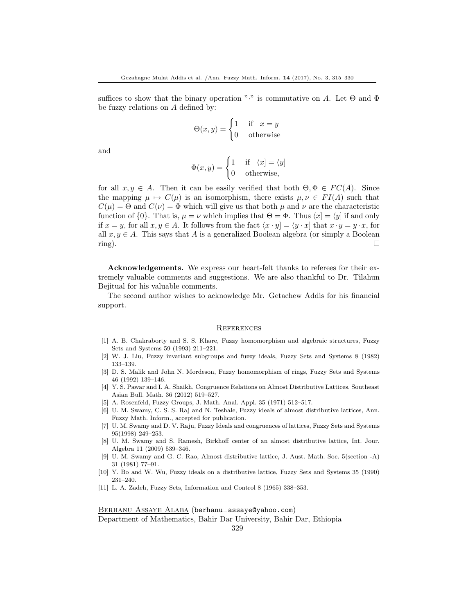suffices to show that the binary operation " $\cdot$ " is commutative on A. Let  $\Theta$  and  $\Phi$ be fuzzy relations on A defined by:

$$
\Theta(x, y) = \begin{cases} 1 & \text{if } x = y \\ 0 & \text{otherwise} \end{cases}
$$

and

$$
\Phi(x, y) = \begin{cases} 1 & \text{if } \langle x | = \langle y | \\ 0 & \text{otherwise,} \end{cases}
$$

for all  $x, y \in A$ . Then it can be easily verified that both  $\Theta, \Phi \in FC(A)$ . Since the mapping  $\mu \mapsto C(\mu)$  is an isomorphism, there exists  $\mu, \nu \in FI(A)$  such that  $C(\mu) = \Theta$  and  $C(\nu) = \Phi$  which will give us that both  $\mu$  and  $\nu$  are the characteristic function of {0}. That is,  $\mu = \nu$  which implies that  $\Theta = \Phi$ . Thus  $\langle x | = \langle y |$  if and only if  $x = y$ , for all  $x, y \in A$ . It follows from the fact  $\langle x \cdot y \rangle = \langle y \cdot x \rangle$  that  $x \cdot y = y \cdot x$ , for all  $x, y \in A$ . This says that A is a generalized Boolean algebra (or simply a Boolean  $\Box$ 

Acknowledgements. We express our heart-felt thanks to referees for their extremely valuable comments and suggestions. We are also thankful to Dr. Tilahun Bejitual for his valuable comments.

The second author wishes to acknowledge Mr. Getachew Addis for his financial support.

#### **REFERENCES**

- <span id="page-15-10"></span>[1] A. B. Chakraborty and S. S. Khare, Fuzzy homomorphism and algebraic structures, Fuzzy Sets and Systems 59 (1993) 211–221.
- <span id="page-15-5"></span>[2] W. J. Liu, Fuzzy invariant subgroups and fuzzy ideals, Fuzzy Sets and Systems 8 (1982) 133–139.
- <span id="page-15-6"></span>[3] D. S. Malik and John N. Mordeson, Fuzzy homomorphism of rings, Fuzzy Sets and Systems 46 (1992) 139–146.
- <span id="page-15-2"></span>[4] Y. S. Pawar and I. A. Shaikh, Congruence Relations on Almost Distributive Lattices, Southeast Asian Bull. Math. 36 (2012) 519–527.
- <span id="page-15-4"></span>[5] A. Rosenfeld, Fuzzy Groups, J. Math. Anal. Appl. 35 (1971) 512–517.
- <span id="page-15-9"></span>[6] U. M. Swamy, C. S. S. Raj and N. Teshale, Fuzzy ideals of almost distributive lattices, Ann. Fuzzy Math. Inform., accepted for publication.
- <span id="page-15-8"></span>[7] U. M. Swamy and D. V. Raju, Fuzzy Ideals and congruences of lattices, Fuzzy Sets and Systems 95(1998) 249–253.
- <span id="page-15-1"></span>[8] U. M. Swamy and S. Ramesh, Birkhoff center of an almost distributive lattice, Int. Jour. Algebra 11 (2009) 539–346.
- <span id="page-15-0"></span>[9] U. M. Swamy and G. C. Rao, Almost distributive lattice, J. Aust. Math. Soc. 5(section -A) 31 (1981) 77–91.
- <span id="page-15-7"></span>[10] Y. Bo and W. Wu, Fuzzy ideals on a distributive lattice, Fuzzy Sets and Systems 35 (1990) 231–240.
- <span id="page-15-3"></span>[11] L. A. Zadeh, Fuzzy Sets, Information and Control 8 (1965) 338–353.

Berhanu Assaye Alaba (berhanu−assaye@yahoo.com) Department of Mathematics, Bahir Dar University, Bahir Dar, Ethiopia